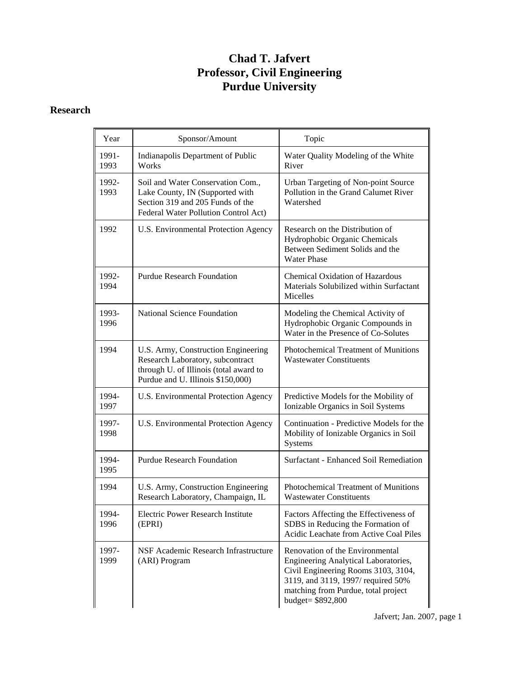## **Chad T. Jafvert Professor, Civil Engineering Purdue University**

## **Research**

| Year          | Sponsor/Amount                                                                                                                                         | Topic                                                                                                                                                                                                           |
|---------------|--------------------------------------------------------------------------------------------------------------------------------------------------------|-----------------------------------------------------------------------------------------------------------------------------------------------------------------------------------------------------------------|
| 1991-<br>1993 | Indianapolis Department of Public<br>Works                                                                                                             | Water Quality Modeling of the White<br>River                                                                                                                                                                    |
| 1992-<br>1993 | Soil and Water Conservation Com.,<br>Lake County, IN (Supported with<br>Section 319 and 205 Funds of the<br>Federal Water Pollution Control Act)       | Urban Targeting of Non-point Source<br>Pollution in the Grand Calumet River<br>Watershed                                                                                                                        |
| 1992          | U.S. Environmental Protection Agency                                                                                                                   | Research on the Distribution of<br>Hydrophobic Organic Chemicals<br>Between Sediment Solids and the<br><b>Water Phase</b>                                                                                       |
| 1992-<br>1994 | <b>Purdue Research Foundation</b>                                                                                                                      | <b>Chemical Oxidation of Hazardous</b><br>Materials Solubilized within Surfactant<br>Micelles                                                                                                                   |
| 1993-<br>1996 | National Science Foundation                                                                                                                            | Modeling the Chemical Activity of<br>Hydrophobic Organic Compounds in<br>Water in the Presence of Co-Solutes                                                                                                    |
| 1994          | U.S. Army, Construction Engineering<br>Research Laboratory, subcontract<br>through U. of Illinois (total award to<br>Purdue and U. Illinois \$150,000) | Photochemical Treatment of Munitions<br><b>Wastewater Constituents</b>                                                                                                                                          |
| 1994-<br>1997 | U.S. Environmental Protection Agency                                                                                                                   | Predictive Models for the Mobility of<br>Ionizable Organics in Soil Systems                                                                                                                                     |
| 1997-<br>1998 | U.S. Environmental Protection Agency                                                                                                                   | Continuation - Predictive Models for the<br>Mobility of Ionizable Organics in Soil<br>Systems                                                                                                                   |
| 1994-<br>1995 | <b>Purdue Research Foundation</b>                                                                                                                      | Surfactant - Enhanced Soil Remediation                                                                                                                                                                          |
| 1994          | U.S. Army, Construction Engineering<br>Research Laboratory, Champaign, IL                                                                              | Photochemical Treatment of Munitions<br><b>Wastewater Constituents</b>                                                                                                                                          |
| 1994-<br>1996 | Electric Power Research Institute<br>(EPRI)                                                                                                            | Factors Affecting the Effectiveness of<br>SDBS in Reducing the Formation of<br>Acidic Leachate from Active Coal Piles                                                                                           |
| 1997-<br>1999 | NSF Academic Research Infrastructure<br>(ARI) Program                                                                                                  | Renovation of the Environmental<br>Engineering Analytical Laboratories,<br>Civil Engineering Rooms 3103, 3104,<br>3119, and 3119, 1997/required 50%<br>matching from Purdue, total project<br>budget= \$892,800 |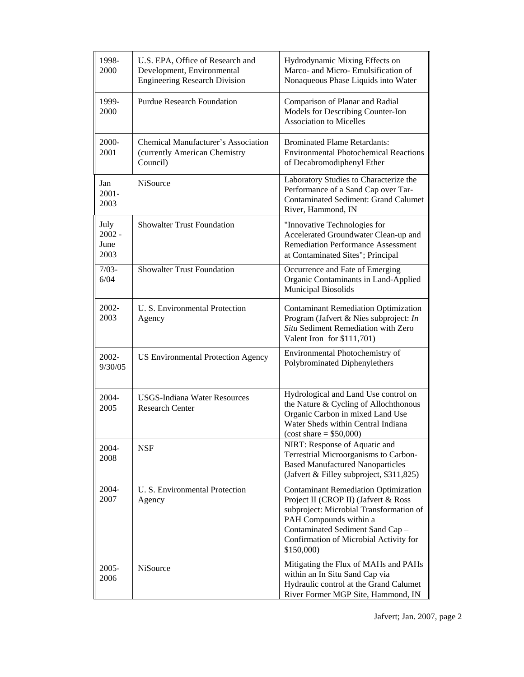| 1998-<br>2000                    | U.S. EPA, Office of Research and<br>Development, Environmental<br><b>Engineering Research Division</b> | Hydrodynamic Mixing Effects on<br>Marco- and Micro- Emulsification of<br>Nonaqueous Phase Liquids into Water                                                                                                                                         |
|----------------------------------|--------------------------------------------------------------------------------------------------------|------------------------------------------------------------------------------------------------------------------------------------------------------------------------------------------------------------------------------------------------------|
| 1999-<br>2000                    | <b>Purdue Research Foundation</b>                                                                      | Comparison of Planar and Radial<br>Models for Describing Counter-Ion<br><b>Association to Micelles</b>                                                                                                                                               |
| 2000-<br>2001                    | <b>Chemical Manufacturer's Association</b><br>(currently American Chemistry<br>Council)                | <b>Brominated Flame Retardants:</b><br><b>Environmental Photochemical Reactions</b><br>of Decabromodiphenyl Ether                                                                                                                                    |
| Jan<br>$2001 -$<br>2003          | <b>NiSource</b>                                                                                        | Laboratory Studies to Characterize the<br>Performance of a Sand Cap over Tar-<br><b>Contaminated Sediment: Grand Calumet</b><br>River, Hammond, IN                                                                                                   |
| July<br>$2002 -$<br>June<br>2003 | <b>Showalter Trust Foundation</b>                                                                      | "Innovative Technologies for<br>Accelerated Groundwater Clean-up and<br><b>Remediation Performance Assessment</b><br>at Contaminated Sites"; Principal                                                                                               |
| $7/03 -$<br>6/04                 | Showalter Trust Foundation                                                                             | Occurrence and Fate of Emerging<br>Organic Contaminants in Land-Applied<br><b>Municipal Biosolids</b>                                                                                                                                                |
| 2002-<br>2003                    | U. S. Environmental Protection<br>Agency                                                               | <b>Contaminant Remediation Optimization</b><br>Program (Jafvert & Nies subproject: In<br>Situ Sediment Remediation with Zero<br>Valent Iron for \$111,701)                                                                                           |
| 2002-<br>9/30/05                 | <b>US Environmental Protection Agency</b>                                                              | Environmental Photochemistry of<br>Polybrominated Diphenylethers                                                                                                                                                                                     |
| 2004-<br>2005                    | <b>USGS-Indiana Water Resources</b><br><b>Research Center</b>                                          | Hydrological and Land Use control on<br>the Nature & Cycling of Allochthonous<br>Organic Carbon in mixed Land Use<br>Water Sheds within Central Indiana<br>$(cost share = $50,000)$                                                                  |
| 2004-<br>2008                    | <b>NSF</b>                                                                                             | NIRT: Response of Aquatic and<br>Terrestrial Microorganisms to Carbon-<br><b>Based Manufactured Nanoparticles</b><br>(Jafvert & Filley subproject, \$311,825)                                                                                        |
| 2004-<br>2007                    | U. S. Environmental Protection<br>Agency                                                               | <b>Contaminant Remediation Optimization</b><br>Project II (CROP II) (Jafvert & Ross<br>subproject: Microbial Transformation of<br>PAH Compounds within a<br>Contaminated Sediment Sand Cap -<br>Confirmation of Microbial Activity for<br>\$150,000) |
| 2005-<br>2006                    | NiSource                                                                                               | Mitigating the Flux of MAHs and PAHs<br>within an In Situ Sand Cap via<br>Hydraulic control at the Grand Calumet<br>River Former MGP Site, Hammond, IN                                                                                               |